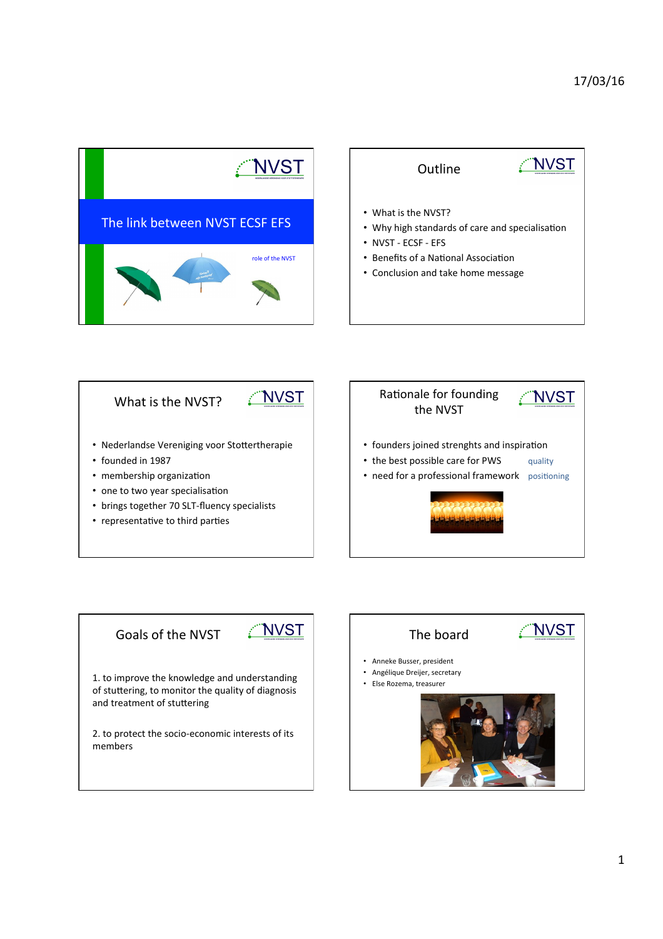









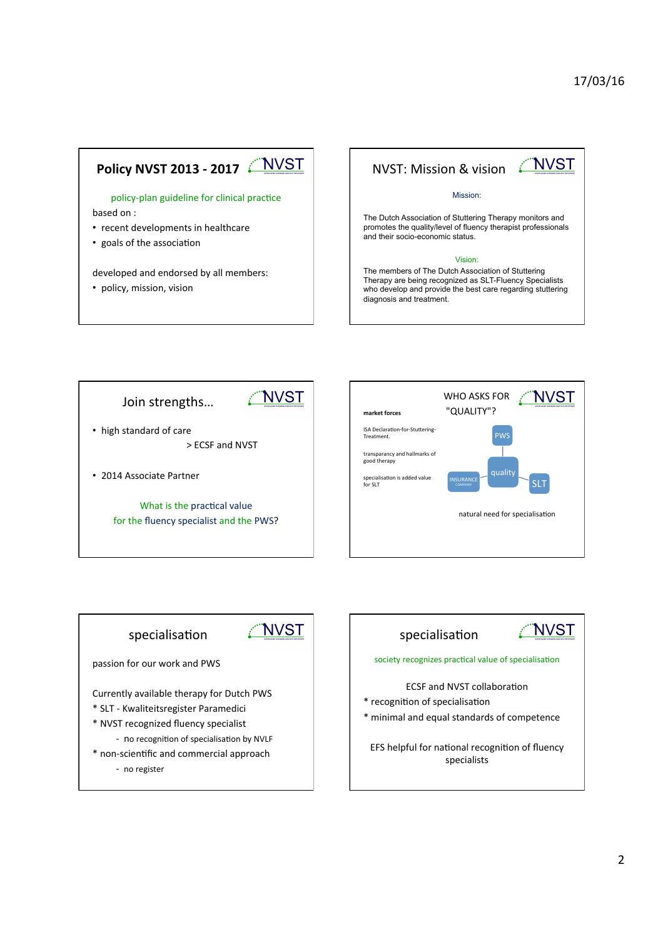



The Dutch Association of Stuttering Therapy monitors and promotes the quality/level of fluency therapist professionals and their socio-economic status.

#### Vision:

The members of The Dutch Association of Stuttering Therapy are being recognized as SLT-Fluency Specialists who develop and provide the best care regarding stuttering diagnosis and treatment.







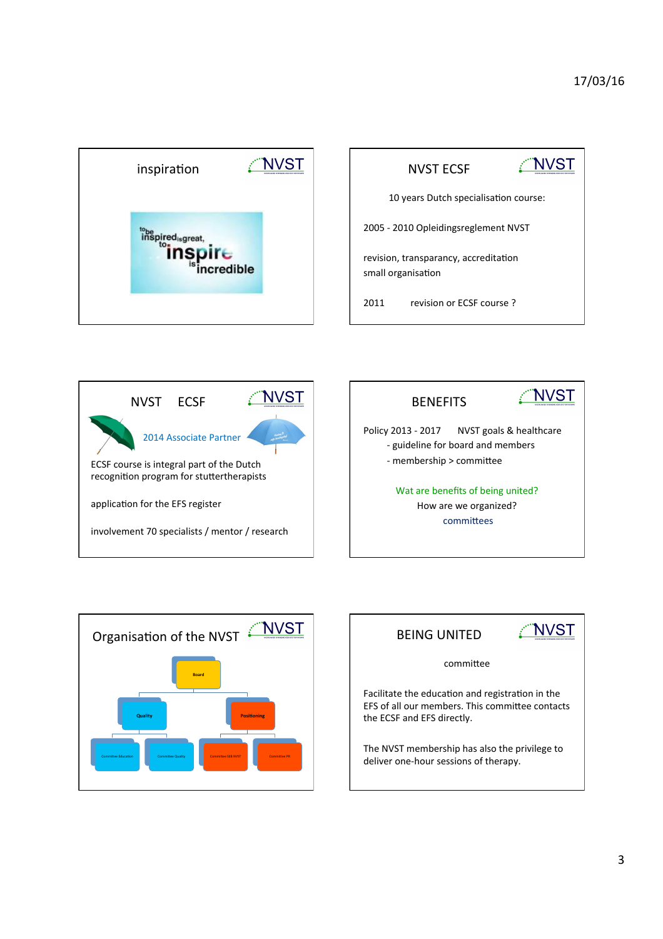

|                                                             | <b>NVST ECSF</b>         |  |
|-------------------------------------------------------------|--------------------------|--|
| 10 years Dutch specialisation course:                       |                          |  |
| 2005 - 2010 Opleidingsreglement NVST                        |                          |  |
| revision, transparancy, accreditation<br>small organisation |                          |  |
| 2011                                                        | revision or ECSE course? |  |







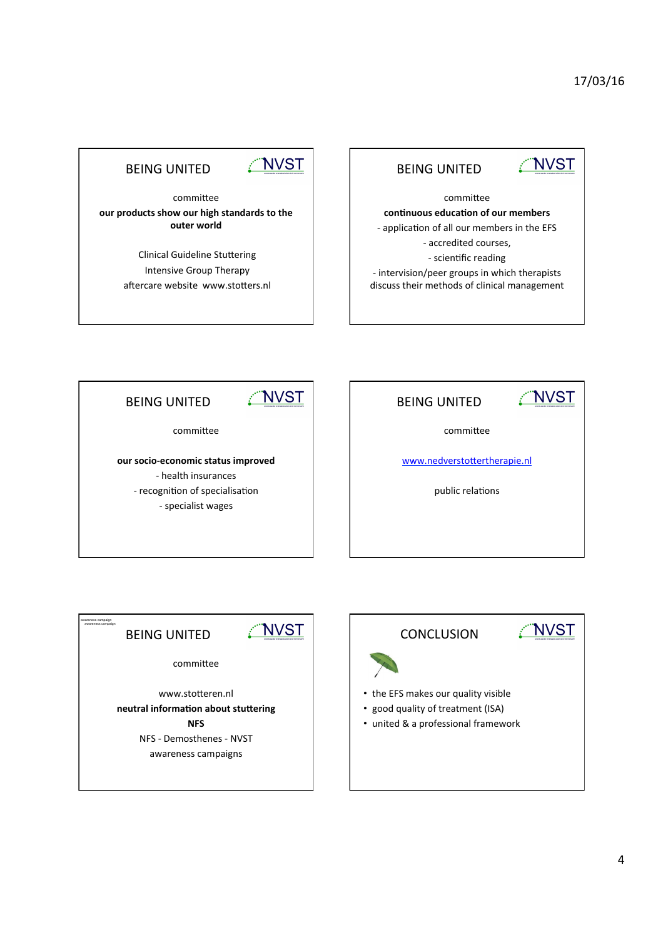## NVST

#### **BEING UNITED**

committee our products show our high standards to the **outer** world

> Clinical Guideline Stuttering Intensive Group Therapy aftercare website www.stotters.nl

### **BEING UNITED**

# WVST

committee continuous education of our members - application of all our members in the EFS - accredited courses, - scientific reading - intervision/peer groups in which therapists discuss their methods of clinical management



committee

our socio-economic status improved - health insurances - recognition of specialisation - specialist wages

| VST                          |  |  |
|------------------------------|--|--|
|                              |  |  |
| www.nedverstottertherapie.nl |  |  |
| public relations             |  |  |
|                              |  |  |
|                              |  |  |